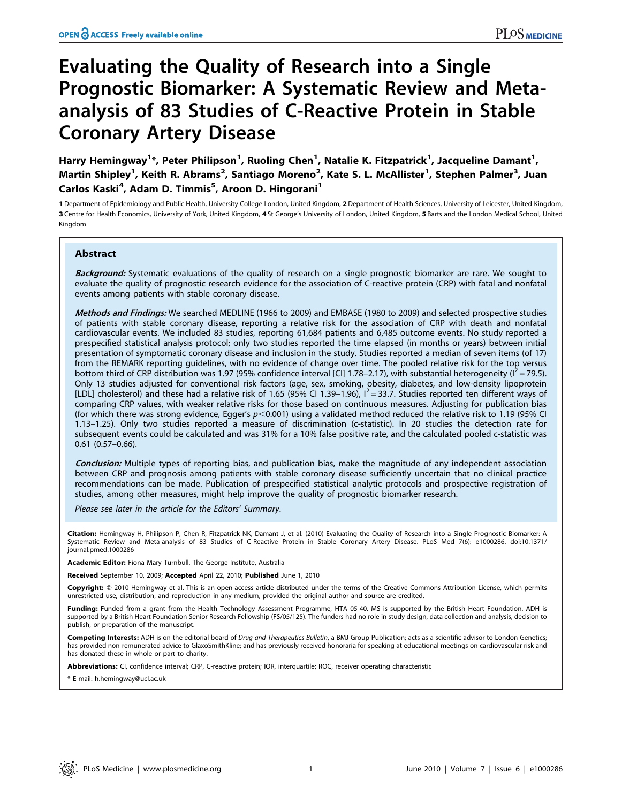# Evaluating the Quality of Research into a Single Prognostic Biomarker: A Systematic Review and Metaanalysis of 83 Studies of C-Reactive Protein in Stable Coronary Artery Disease

Harry Hemingway<sup>1</sup>\*, Peter Philipson<sup>1</sup>, Ruoling Chen<sup>1</sup>, Natalie K. Fitzpatrick<sup>1</sup>, Jacqueline Damant<sup>1</sup>, Martin Shipley<sup>1</sup>, Keith R. Abrams<sup>2</sup>, Santiago Moreno<sup>2</sup>, Kate S. L. McAllister<sup>1</sup>, Stephen Palmer<sup>3</sup>, Juan Carlos Kaski<sup>4</sup>, Adam D. Timmis<sup>5</sup>, Aroon D. Hingorani<sup>1</sup>

1 Department of Epidemiology and Public Health, University College London, United Kingdom, 2 Department of Health Sciences, University of Leicester, United Kingdom, 3 Centre for Health Economics, University of York, United Kingdom, 4 St George's University of London, United Kingdom, 5 Barts and the London Medical School, United Kingdom

# Abstract

Background: Systematic evaluations of the quality of research on a single prognostic biomarker are rare. We sought to evaluate the quality of prognostic research evidence for the association of C-reactive protein (CRP) with fatal and nonfatal events among patients with stable coronary disease.

Methods and Findings: We searched MEDLINE (1966 to 2009) and EMBASE (1980 to 2009) and selected prospective studies of patients with stable coronary disease, reporting a relative risk for the association of CRP with death and nonfatal cardiovascular events. We included 83 studies, reporting 61,684 patients and 6,485 outcome events. No study reported a prespecified statistical analysis protocol; only two studies reported the time elapsed (in months or years) between initial presentation of symptomatic coronary disease and inclusion in the study. Studies reported a median of seven items (of 17) from the REMARK reporting guidelines, with no evidence of change over time. The pooled relative risk for the top versus bottom third of CRP distribution was 1.97 (95% confidence interval [CI] 1.78–2.17), with substantial heterogeneity ( $I^2$  = 79.5). Only 13 studies adjusted for conventional risk factors (age, sex, smoking, obesity, diabetes, and low-density lipoprotein [LDL] cholesterol) and these had a relative risk of 1.65 (95% CI 1.39–1.96),  $I^2 = 33.7$ . Studies reported ten different ways of comparing CRP values, with weaker relative risks for those based on continuous measures. Adjusting for publication bias (for which there was strong evidence, Egger's  $p$ <0.001) using a validated method reduced the relative risk to 1.19 (95% CI 1.13–1.25). Only two studies reported a measure of discrimination (c-statistic). In 20 studies the detection rate for subsequent events could be calculated and was 31% for a 10% false positive rate, and the calculated pooled c-statistic was 0.61 (0.57–0.66).

Conclusion: Multiple types of reporting bias, and publication bias, make the magnitude of any independent association between CRP and prognosis among patients with stable coronary disease sufficiently uncertain that no clinical practice recommendations can be made. Publication of prespecified statistical analytic protocols and prospective registration of studies, among other measures, might help improve the quality of prognostic biomarker research.

Please see later in the article for the Editors' Summary.

Citation: Hemingway H, Philipson P, Chen R, Fitzpatrick NK, Damant J, et al. (2010) Evaluating the Quality of Research into a Single Prognostic Biomarker: A Systematic Review and Meta-analysis of 83 Studies of C-Reactive Protein in Stable Coronary Artery Disease. PLoS Med 7(6): e1000286. doi:10.1371/ journal.pmed.1000286

Academic Editor: Fiona Mary Turnbull, The George Institute, Australia

Received September 10, 2009; Accepted April 22, 2010; Published June 1, 2010

Copyright: © 2010 Hemingway et al. This is an open-access article distributed under the terms of the Creative Commons Attribution License, which permits unrestricted use, distribution, and reproduction in any medium, provided the original author and source are credited.

Funding: Funded from a grant from the Health Technology Assessment Programme, HTA 05-40. MS is supported by the British Heart Foundation. ADH is supported by a British Heart Foundation Senior Research Fellowship (FS/05/125). The funders had no role in study design, data collection and analysis, decision to publish, or preparation of the manuscript.

Competing Interests: ADH is on the editorial board of Drug and Therapeutics Bulletin, a BMJ Group Publication; acts as a scientific advisor to London Genetics; has provided non-remunerated advice to GlaxoSmithKline; and has previously received honoraria for speaking at educational meetings on cardiovascular risk and has donated these in whole or part to charity.

Abbreviations: CI, confidence interval; CRP, C-reactive protein; IQR, interquartile; ROC, receiver operating characteristic

\* E-mail: h.hemingway@ucl.ac.uk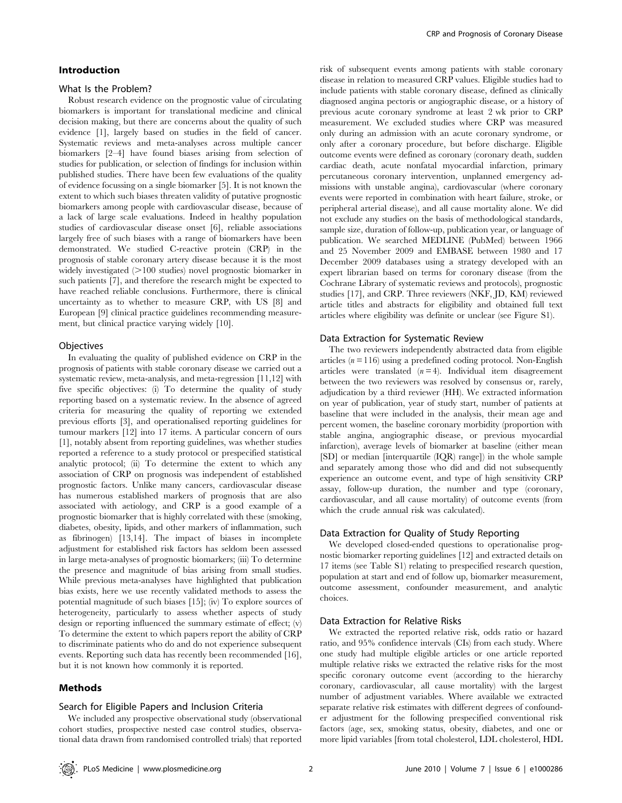## Introduction

## What Is the Problem?

Robust research evidence on the prognostic value of circulating biomarkers is important for translational medicine and clinical decision making, but there are concerns about the quality of such evidence [1], largely based on studies in the field of cancer. Systematic reviews and meta-analyses across multiple cancer biomarkers [2–4] have found biases arising from selection of studies for publication, or selection of findings for inclusion within published studies. There have been few evaluations of the quality of evidence focussing on a single biomarker [5]. It is not known the extent to which such biases threaten validity of putative prognostic biomarkers among people with cardiovascular disease, because of a lack of large scale evaluations. Indeed in healthy population studies of cardiovascular disease onset [6], reliable associations largely free of such biases with a range of biomarkers have been demonstrated. We studied C-reactive protein (CRP) in the prognosis of stable coronary artery disease because it is the most widely investigated  $(>100$  studies) novel prognostic biomarker in such patients [7], and therefore the research might be expected to have reached reliable conclusions. Furthermore, there is clinical uncertainty as to whether to measure CRP, with US [8] and European [9] clinical practice guidelines recommending measurement, but clinical practice varying widely [10].

## **Objectives**

In evaluating the quality of published evidence on CRP in the prognosis of patients with stable coronary disease we carried out a systematic review, meta-analysis, and meta-regression [11,12] with five specific objectives: (i) To determine the quality of study reporting based on a systematic review. In the absence of agreed criteria for measuring the quality of reporting we extended previous efforts [3], and operationalised reporting guidelines for tumour markers [12] into 17 items. A particular concern of ours [1], notably absent from reporting guidelines, was whether studies reported a reference to a study protocol or prespecified statistical analytic protocol; (ii) To determine the extent to which any association of CRP on prognosis was independent of established prognostic factors. Unlike many cancers, cardiovascular disease has numerous established markers of prognosis that are also associated with aetiology, and CRP is a good example of a prognostic biomarker that is highly correlated with these (smoking, diabetes, obesity, lipids, and other markers of inflammation, such as fibrinogen) [13,14]. The impact of biases in incomplete adjustment for established risk factors has seldom been assessed in large meta-analyses of prognostic biomarkers; (iii) To determine the presence and magnitude of bias arising from small studies. While previous meta-analyses have highlighted that publication bias exists, here we use recently validated methods to assess the potential magnitude of such biases [15]; (iv) To explore sources of heterogeneity, particularly to assess whether aspects of study design or reporting influenced the summary estimate of effect; (v) To determine the extent to which papers report the ability of CRP to discriminate patients who do and do not experience subsequent events. Reporting such data has recently been recommended [16], but it is not known how commonly it is reported.

## Methods

## Search for Eligible Papers and Inclusion Criteria

We included any prospective observational study (observational cohort studies, prospective nested case control studies, observational data drawn from randomised controlled trials) that reported risk of subsequent events among patients with stable coronary disease in relation to measured CRP values. Eligible studies had to include patients with stable coronary disease, defined as clinically diagnosed angina pectoris or angiographic disease, or a history of previous acute coronary syndrome at least 2 wk prior to CRP measurement. We excluded studies where CRP was measured only during an admission with an acute coronary syndrome, or only after a coronary procedure, but before discharge. Eligible outcome events were defined as coronary (coronary death, sudden cardiac death, acute nonfatal myocardial infarction, primary percutaneous coronary intervention, unplanned emergency admissions with unstable angina), cardiovascular (where coronary events were reported in combination with heart failure, stroke, or peripheral arterial disease), and all cause mortality alone. We did not exclude any studies on the basis of methodological standards, sample size, duration of follow-up, publication year, or language of publication. We searched MEDLINE (PubMed) between 1966 and 25 November 2009 and EMBASE between 1980 and 17 December 2009 databases using a strategy developed with an expert librarian based on terms for coronary disease (from the Cochrane Library of systematic reviews and protocols), prognostic studies [17], and CRP. Three reviewers (NKF, JD, KM) reviewed article titles and abstracts for eligibility and obtained full text articles where eligibility was definite or unclear (see Figure S1).

#### Data Extraction for Systematic Review

The two reviewers independently abstracted data from eligible articles  $(n = 116)$  using a predefined coding protocol. Non-English articles were translated  $(n=4)$ . Individual item disagreement between the two reviewers was resolved by consensus or, rarely, adjudication by a third reviewer (HH). We extracted information on year of publication, year of study start, number of patients at baseline that were included in the analysis, their mean age and percent women, the baseline coronary morbidity (proportion with stable angina, angiographic disease, or previous myocardial infarction), average levels of biomarker at baseline (either mean [SD] or median [interquartile (IQR) range]) in the whole sample and separately among those who did and did not subsequently experience an outcome event, and type of high sensitivity CRP assay, follow-up duration, the number and type (coronary, cardiovascular, and all cause mortality) of outcome events (from which the crude annual risk was calculated).

#### Data Extraction for Quality of Study Reporting

We developed closed-ended questions to operationalise prognostic biomarker reporting guidelines [12] and extracted details on 17 items (see Table S1) relating to prespecified research question, population at start and end of follow up, biomarker measurement, outcome assessment, confounder measurement, and analytic choices.

## Data Extraction for Relative Risks

We extracted the reported relative risk, odds ratio or hazard ratio, and 95% confidence intervals (CIs) from each study. Where one study had multiple eligible articles or one article reported multiple relative risks we extracted the relative risks for the most specific coronary outcome event (according to the hierarchy coronary, cardiovascular, all cause mortality) with the largest number of adjustment variables. Where available we extracted separate relative risk estimates with different degrees of confounder adjustment for the following prespecified conventional risk factors (age, sex, smoking status, obesity, diabetes, and one or more lipid variables [from total cholesterol, LDL cholesterol, HDL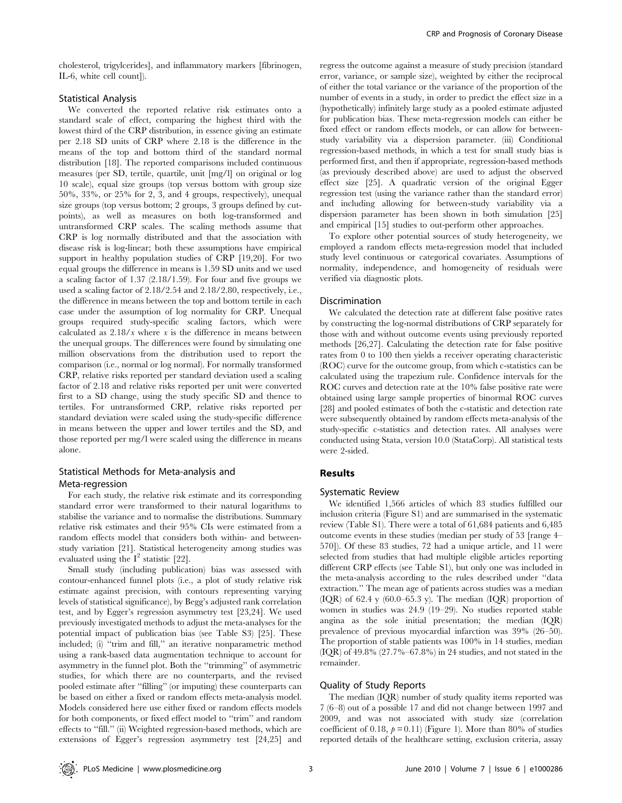cholesterol, trigylcerides], and inflammatory markers [fibrinogen, IL-6, white cell count]).

## Statistical Analysis

We converted the reported relative risk estimates onto a standard scale of effect, comparing the highest third with the lowest third of the CRP distribution, in essence giving an estimate per 2.18 SD units of CRP where 2.18 is the difference in the means of the top and bottom third of the standard normal distribution [18]. The reported comparisons included continuous measures (per SD, tertile, quartile, unit [mg/l] on original or log 10 scale), equal size groups (top versus bottom with group size 50%, 33%, or 25% for 2, 3, and 4 groups, respectively), unequal size groups (top versus bottom; 2 groups, 3 groups defined by cutpoints), as well as measures on both log-transformed and untransformed CRP scales. The scaling methods assume that CRP is log normally distributed and that the association with disease risk is log-linear; both these assumptions have empirical support in healthy population studies of CRP [19,20]. For two equal groups the difference in means is 1.59 SD units and we used a scaling factor of 1.37 (2.18/1.59). For four and five groups we used a scaling factor of 2.18/2.54 and 2.18/2.80, respectively, i.e., the difference in means between the top and bottom tertile in each case under the assumption of log normality for CRP. Unequal groups required study-specific scaling factors, which were calculated as  $2.18/x$  where x is the difference in means between the unequal groups. The differences were found by simulating one million observations from the distribution used to report the comparison (i.e., normal or log normal). For normally transformed CRP, relative risks reported per standard deviation used a scaling factor of 2.18 and relative risks reported per unit were converted first to a SD change, using the study specific SD and thence to tertiles. For untransformed CRP, relative risks reported per standard deviation were scaled using the study-specific difference in means between the upper and lower tertiles and the SD, and those reported per mg/l were scaled using the difference in means alone.

# Statistical Methods for Meta-analysis and Meta-regression

For each study, the relative risk estimate and its corresponding standard error were transformed to their natural logarithms to stabilise the variance and to normalise the distributions. Summary relative risk estimates and their 95% CIs were estimated from a random effects model that considers both within- and betweenstudy variation [21]. Statistical heterogeneity among studies was evaluated using the  $I^2$  statistic [22].

Small study (including publication) bias was assessed with contour-enhanced funnel plots (i.e., a plot of study relative risk estimate against precision, with contours representing varying levels of statistical significance), by Begg's adjusted rank correlation test, and by Egger's regression asymmetry test [23,24]. We used previously investigated methods to adjust the meta-analyses for the potential impact of publication bias (see Table S3) [25]. These included; (i) ''trim and fill,'' an iterative nonparametric method using a rank-based data augmentation technique to account for asymmetry in the funnel plot. Both the ''trimming'' of asymmetric studies, for which there are no counterparts, and the revised pooled estimate after ''filling'' (or imputing) these counterparts can be based on either a fixed or random effects meta-analysis model. Models considered here use either fixed or random effects models for both components, or fixed effect model to ''trim'' and random effects to ''fill.'' (ii) Weighted regression-based methods, which are extensions of Egger's regression asymmetry test [24,25] and regress the outcome against a measure of study precision (standard error, variance, or sample size), weighted by either the reciprocal of either the total variance or the variance of the proportion of the number of events in a study, in order to predict the effect size in a (hypothetically) infinitely large study as a pooled estimate adjusted for publication bias. These meta-regression models can either be fixed effect or random effects models, or can allow for betweenstudy variability via a dispersion parameter. (iii) Conditional regression-based methods, in which a test for small study bias is performed first, and then if appropriate, regression-based methods (as previously described above) are used to adjust the observed effect size [25]. A quadratic version of the original Egger regression test (using the variance rather than the standard error) and including allowing for between-study variability via a dispersion parameter has been shown in both simulation [25] and empirical [15] studies to out-perform other approaches.

To explore other potential sources of study heterogeneity, we employed a random effects meta-regression model that included study level continuous or categorical covariates. Assumptions of normality, independence, and homogeneity of residuals were verified via diagnostic plots.

#### Discrimination

We calculated the detection rate at different false positive rates by constructing the log-normal distributions of CRP separately for those with and without outcome events using previously reported methods [26,27]. Calculating the detection rate for false positive rates from 0 to 100 then yields a receiver operating characteristic (ROC) curve for the outcome group, from which c-statistics can be calculated using the trapezium rule. Confidence intervals for the ROC curves and detection rate at the 10% false positive rate were obtained using large sample properties of binormal ROC curves [28] and pooled estimates of both the c-statistic and detection rate were subsequently obtained by random effects meta-analysis of the study-specific c-statistics and detection rates. All analyses were conducted using Stata, version 10.0 (StataCorp). All statistical tests were 2-sided.

## Results

## Systematic Review

We identified 1,566 articles of which 83 studies fulfilled our inclusion criteria (Figure S1) and are summarised in the systematic review (Table S1). There were a total of 61,684 patients and 6,485 outcome events in these studies (median per study of 53 [range 4– 570]). Of these 83 studies, 72 had a unique article, and 11 were selected from studies that had multiple eligible articles reporting different CRP effects (see Table S1), but only one was included in the meta-analysis according to the rules described under ''data extraction.'' The mean age of patients across studies was a median  $(IQR)$  of 62.4 y  $(60.0-65.3 \text{ y})$ . The median  $(IQR)$  proportion of women in studies was 24.9 (19–29). No studies reported stable angina as the sole initial presentation; the median (IQR) prevalence of previous myocardial infarction was 39% (26–50). The proportion of stable patients was 100% in 14 studies, median (IQR) of 49.8% (27.7%–67.8%) in 24 studies, and not stated in the remainder.

## Quality of Study Reports

The median (IQR) number of study quality items reported was 7 (6–8) out of a possible 17 and did not change between 1997 and 2009, and was not associated with study size (correlation coefficient of 0.18,  $p = 0.11$ ) (Figure 1). More than 80% of studies reported details of the healthcare setting, exclusion criteria, assay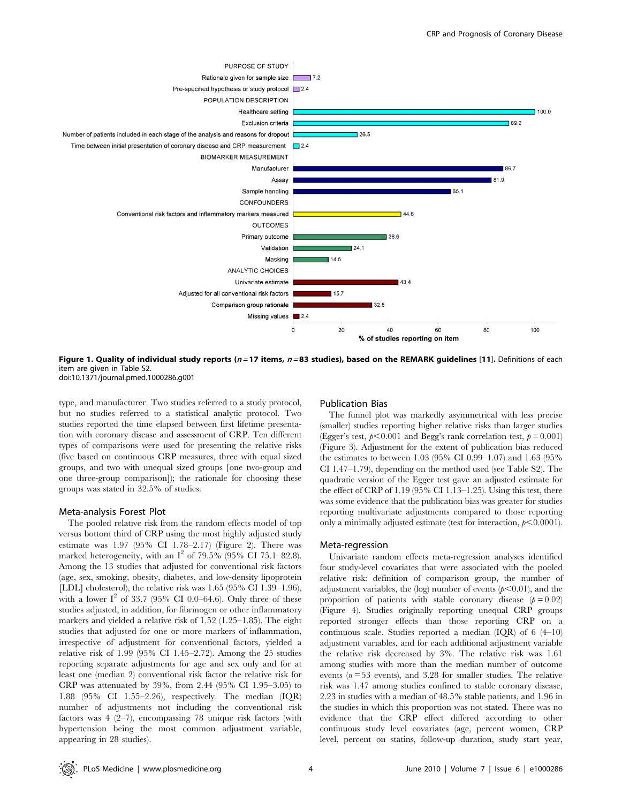

Figure 1. Quality of individual study reports ( $n=17$  items,  $n=83$  studies), based on the REMARK guidelines [11]. Definitions of each item are given in Table S2.

doi:10.1371/journal.pmed.1000286.g001

type, and manufacturer. Two studies referred to a study protocol, but no studies referred to a statistical analytic protocol. Two studies reported the time elapsed between first lifetime presentation with coronary disease and assessment of CRP. Ten different types of comparisons were used for presenting the relative risks (five based on continuous CRP measures, three with equal sized groups, and two with unequal sized groups [one two-group and one three-group comparison]); the rationale for choosing these groups was stated in 32.5% of studies.

## Meta-analysis Forest Plot

The pooled relative risk from the random effects model of top versus bottom third of CRP using the most highly adjusted study estimate was 1.97 (95% CI 1.78–2.17) (Figure 2). There was marked heterogeneity, with an  $I^2$  of 79.5% (95% CI 75.1–82.8). Among the 13 studies that adjusted for conventional risk factors (age, sex, smoking, obesity, diabetes, and low-density lipoprotein [LDL] cholesterol), the relative risk was 1.65 (95% CI 1.39–1.96), with a lower  $I^2$  of 33.7 (95% CI 0.0–64.6). Only three of these studies adjusted, in addition, for fibrinogen or other inflammatory markers and yielded a relative risk of 1.52 (1.25–1.85). The eight studies that adjusted for one or more markers of inflammation, irrespective of adjustment for conventional factors, yielded a relative risk of 1.99 (95% CI 1.45–2.72). Among the 25 studies reporting separate adjustments for age and sex only and for at least one (median 2) conventional risk factor the relative risk for CRP was attenuated by 39%, from 2.44 (95% CI 1.95–3.05) to 1.88 (95% CI 1.55–2.26), respectively. The median (IQR) number of adjustments not including the conventional risk factors was 4 (2–7), encompassing 78 unique risk factors (with hypertension being the most common adjustment variable, appearing in 28 studies).

#### Publication Bias

The funnel plot was markedly asymmetrical with less precise (smaller) studies reporting higher relative risks than larger studies (Egger's test,  $p < 0.001$  and Begg's rank correlation test,  $p = 0.001$ ) (Figure 3). Adjustment for the extent of publication bias reduced the estimates to between 1.03 (95% CI 0.99–1.07) and 1.63 (95% CI 1.47–1.79), depending on the method used (see Table S2). The quadratic version of the Egger test gave an adjusted estimate for the effect of CRP of 1.19 (95% CI 1.13–1.25). Using this test, there was some evidence that the publication bias was greater for studies reporting multivariate adjustments compared to those reporting only a minimally adjusted estimate (test for interaction,  $p<0.0001$ ).

## Meta-regression

Univariate random effects meta-regression analyses identified four study-level covariates that were associated with the pooled relative risk: definition of comparison group, the number of adjustment variables, the (log) number of events  $(p<0.01)$ , and the proportion of patients with stable coronary disease  $(p=0.02)$ (Figure 4). Studies originally reporting unequal CRP groups reported stronger effects than those reporting CRP on a continuous scale. Studies reported a median (IQR) of 6 (4–10) adjustment variables, and for each additional adjustment variable the relative risk decreased by 3%. The relative risk was 1.61 among studies with more than the median number of outcome events ( $n = 53$  events), and 3.28 for smaller studies. The relative risk was 1.47 among studies confined to stable coronary disease, 2.23 in studies with a median of 48.5% stable patients, and 1.96 in the studies in which this proportion was not stated. There was no evidence that the CRP effect differed according to other continuous study level covariates (age, percent women, CRP level, percent on statins, follow-up duration, study start year,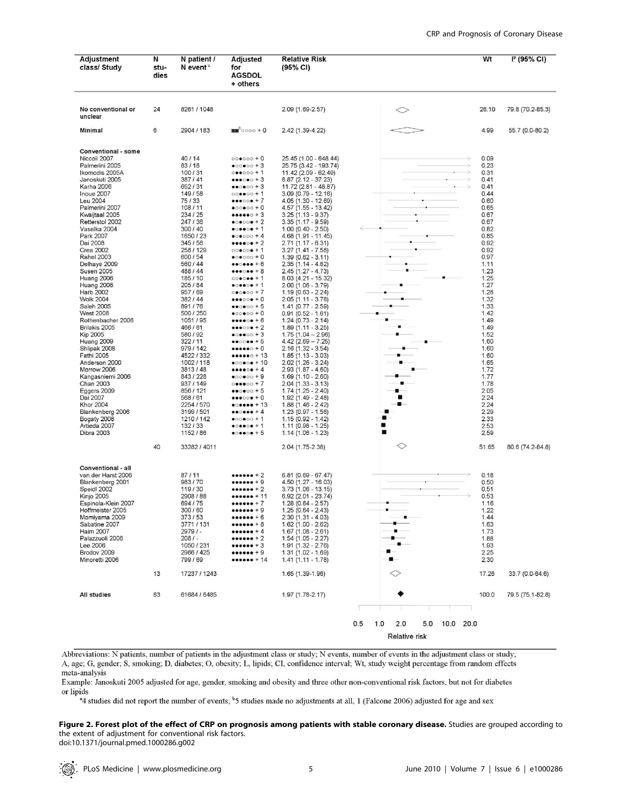| Adjustment<br>class/ Study                                                                                                                                                                                                                                                                                                                                                                                                                                                                                                                                                                                                                                                                                                | N<br>stu-<br>dies | N patient /<br>N event <sup>®</sup>                                                                                                                                                                                                                                                                                                                                                                                                                                                 | Adjusted<br>for<br><b>AGSDOL</b><br>+ others                                                                                                                                                                                                                                                                                                                                                                                                                                                                                                                                                                                                                                                                                                                                                                                                                                                                                                                                                                                                                                                                                                                                                                                                                                                                                                                                                                                                                         | <b>Relative Risk</b><br>(95% CI)                                                                                                                                                                                                                                                                                                                                                                                                                                                                                                                                                                                                                                                                                                                                                                                                                                                                                                                                             |                                                        | Wt                                                                                                                                                                                                                                                                                                                                    | $I2$ (95% CI)    |
|---------------------------------------------------------------------------------------------------------------------------------------------------------------------------------------------------------------------------------------------------------------------------------------------------------------------------------------------------------------------------------------------------------------------------------------------------------------------------------------------------------------------------------------------------------------------------------------------------------------------------------------------------------------------------------------------------------------------------|-------------------|-------------------------------------------------------------------------------------------------------------------------------------------------------------------------------------------------------------------------------------------------------------------------------------------------------------------------------------------------------------------------------------------------------------------------------------------------------------------------------------|----------------------------------------------------------------------------------------------------------------------------------------------------------------------------------------------------------------------------------------------------------------------------------------------------------------------------------------------------------------------------------------------------------------------------------------------------------------------------------------------------------------------------------------------------------------------------------------------------------------------------------------------------------------------------------------------------------------------------------------------------------------------------------------------------------------------------------------------------------------------------------------------------------------------------------------------------------------------------------------------------------------------------------------------------------------------------------------------------------------------------------------------------------------------------------------------------------------------------------------------------------------------------------------------------------------------------------------------------------------------------------------------------------------------------------------------------------------------|------------------------------------------------------------------------------------------------------------------------------------------------------------------------------------------------------------------------------------------------------------------------------------------------------------------------------------------------------------------------------------------------------------------------------------------------------------------------------------------------------------------------------------------------------------------------------------------------------------------------------------------------------------------------------------------------------------------------------------------------------------------------------------------------------------------------------------------------------------------------------------------------------------------------------------------------------------------------------|--------------------------------------------------------|---------------------------------------------------------------------------------------------------------------------------------------------------------------------------------------------------------------------------------------------------------------------------------------------------------------------------------------|------------------|
| No conventional or<br>unclear                                                                                                                                                                                                                                                                                                                                                                                                                                                                                                                                                                                                                                                                                             | 24                | 8261 / 1048                                                                                                                                                                                                                                                                                                                                                                                                                                                                         |                                                                                                                                                                                                                                                                                                                                                                                                                                                                                                                                                                                                                                                                                                                                                                                                                                                                                                                                                                                                                                                                                                                                                                                                                                                                                                                                                                                                                                                                      | 2.09 (1.69-2.57)                                                                                                                                                                                                                                                                                                                                                                                                                                                                                                                                                                                                                                                                                                                                                                                                                                                                                                                                                             |                                                        | 26.10                                                                                                                                                                                                                                                                                                                                 | 79.8 (70.2-85.3) |
| Minimal                                                                                                                                                                                                                                                                                                                                                                                                                                                                                                                                                                                                                                                                                                                   | 6                 | 2904 / 183                                                                                                                                                                                                                                                                                                                                                                                                                                                                          | $\mathbb{R}$ $\mathbb{S}$ <sup>0</sup> $\circ$ 000 + 0                                                                                                                                                                                                                                                                                                                                                                                                                                                                                                                                                                                                                                                                                                                                                                                                                                                                                                                                                                                                                                                                                                                                                                                                                                                                                                                                                                                                               | 2.42 (1.39-4.22)                                                                                                                                                                                                                                                                                                                                                                                                                                                                                                                                                                                                                                                                                                                                                                                                                                                                                                                                                             |                                                        | 4.99                                                                                                                                                                                                                                                                                                                                  | 55.7 (0.0-80.2)  |
| Conventional - some<br>Niccoli 2007<br>Palmerini 2005<br>Ikomodis 2005A<br>Janoskuti 2005<br><b>Karha 2006</b><br>Inoue 2007<br>Leu 2004<br>Palmerini 2007<br>Kwaijtaal 2005<br>Retterstol 2002<br>Vaselka 2004<br>Park 2007<br>Dai 2008<br><b>Crea 2002</b><br><b>Rahel 2003</b><br>Delhaye 2009<br><b>Susen 2005</b><br>Huang 2006<br>Huang 2008<br><b>Harb 2002</b><br><b>Wolk 2004</b><br><b>Saleh 2005</b><br><b>West 2008</b><br>Rothenbacher 2006<br>Brilakis 2005<br>Kip 2005<br>Huang 2009<br>Shlipak 2008<br>Fathi 2005<br>Anderson 2000<br>Morrow 2006<br>Kangasniemi 2006<br>Chan 2003<br>Eggers 2009<br>Dai 2007<br><b>Khor 2004</b><br>Blankenberg 2006<br>Bogaty 2008<br>Artieda 2007<br><b>Dibra 2003</b> | 40                | 40/14<br>83/18<br>100/31<br>387/41<br>652/31<br>149/58<br>75/33<br>108/11<br>234 / 25<br>247 / 36<br>300/40<br>1650 / 23<br>345 / 56<br>258 / 129<br>600 / 54<br>560 / 44<br>488 / 44<br>185/10<br>205/84<br>957 / 69<br>382/44<br>891/76<br>500 / 250<br>1051 / 95<br>466 / 61<br>580/92<br>322/11<br>979/142<br>4522 / 332<br>1002/118<br>3813/48<br>843 / 228<br>937 / 149<br>856 / 121<br>568 / 61<br>2254 / 570<br>3199 / 501<br>1210/142<br>132/33<br>1152/86<br>33282 / 4011 | $000000 + 3$<br>$000000 + 1$<br>$\bullet\bullet\bullet\circ\bullet\circ+3$<br>$\bullet\bullet\circ\bullet\circ\circ + 3$<br>$000000 + 1$<br>$\bullet\bullet\bullet\circ\circ\bullet+7$<br>$0000000 + 0$<br>$\bullet\bullet\bullet\bullet\circ +3$<br>$\bullet$ $\circ\bullet\circ\circ\bullet$ + 2<br>$\bullet$ $\circ\bullet\circ\bullet$ + 1<br>$\bullet$ 0 $\bullet$ 000 + 4<br>$\bullet\bullet\bullet\circ\bullet+2$<br>$000000 + 1$<br>$\bullet$ $\circ\bullet$ $\circ\circ$ $\circ$ + 0<br>$\bullet\bullet\circ\bullet\bullet\bullet\bullet6$<br>$\bullet\bullet\bullet\circ\bullet\bullet+8$<br>$000000 + 1$<br>$\bullet$ $\circ\bullet\circ\bullet$ + 1<br>$000000 + 7$<br>$\bullet\bullet\bullet\circ\circ\bullet+0$<br>$-00000 + 5$<br>$\bullet$ $\circ\circ\bullet\circ\circ +0$<br>$\bullet\bullet\bullet\circ\bullet+6$<br>$\bullet\bullet\circ\circ\bullet+2$<br>$\bullet \circ \bullet \bullet \circ \circ + 3$<br>$\bullet\bullet\circ\circ\bullet\bullet+5$<br>$\bullet\bullet\bullet\bullet\circ +0$<br>$\bullet\bullet\bullet\bullet\circ + 13$<br>$\bullet$ 00 $\bullet$ 0 $\bullet$ + 10<br>$\bullet\bullet\bullet\circ\bullet+4$<br>$\bullet$ 00 $\bullet$ 00 + 9<br>$000000 + 7$<br>$\bullet\bullet\circ\bullet\circ\circ + 5$<br>$\bullet\bullet\circ\circ\bullet+0$<br>●○●●●● + 13<br>$\bullet\bullet\circ\bullet\bullet\bullet\ 4$<br>$000000 + 1$<br>$\bullet$ $\circ\bullet\circ\bullet$ + 1<br>$\bullet$ $\circ\bullet\circ\bullet$ + 5 | 25.45 (1.00 - 648.44)<br>25.75 (3.42 - 193.74)<br>11.42 (2.09 - 62.49)<br>8.87 (2.12 - 37.23)<br>11.72 (2.81 - 48.87)<br>3.09 (0.79 - 12.16)<br>4.05 (1.30 - 12.69)<br>4.57 (1.55 - 13.42)<br>$3.25(1.13 - 9.37)$<br>$3.35(1.17 - 9.59)$<br>$1.00(0.40 - 2.50)$<br>4.68 (1.91 - 11.45)<br>$2.71(1.17 - 6.31)$<br>$3.27(1.41 - 7.58)$<br>$1.39(0.62 - 3.11)$<br>$2.35(1.14 - 4.82)$<br>$2.45(1.27 - 4.73)$<br>8.03 (4.21 - 15.32)<br>$2.00(1.06 - 3.79)$<br>$1.19(0.63 - 2.24)$<br>$2.05(1.11 - 3.78)$<br>$1.41(0.77 - 2.59)$<br>$0.91(0.52 - 1.61)$<br>$1.24(0.73 - 2.14)$<br>$1.89(1.11 - 3.25)$<br>$1.75(1.04 - 2.96)$<br>$4.42(2.69 - 7.25)$<br>2.16 (1.32 - 3.54)<br>$1.85(1.13 - 3.03)$<br>$2.02(1.26 - 3.24)$<br>$2.93(1.87 - 4.60)$<br>$1.69(1.10 - 2.60)$<br>$2.04(1.33 - 3.13)$<br>$1.74(1.25 - 2.40)$<br>$1.92(1.49 - 2.48)$<br>$1.88(1.46 - 2.42)$<br>1.23 (0.97 - 1.56)<br>$1.15(0.92 - 1.42)$<br>$1.11(0.98 - 1.25)$<br>$1.14(1.06 - 1.23)$<br>2.04 (1.75-2.38) | æ<br>٠<br>п<br>◇                                       | 0.09<br>0.23<br>0.31<br>0.41<br>0.41<br>0.44<br>0.60<br>0.65<br>0.67<br>0.67<br>0.82<br>0.85<br>0.92<br>0.92<br>0.97<br>1.11<br>1.23<br>1.25<br>1.27<br>1.28<br>1.32<br>1.33<br>1.42<br>1.49<br>1.49<br>1.52<br>1.60<br>1.60<br>1.60<br>1.65<br>1.72<br>1.77<br>1.78<br>2.05<br>2.24<br>2.24<br>2.29<br>2.33<br>2.53<br>2.59<br>51.65 | 80.6 (74.2-84.8) |
|                                                                                                                                                                                                                                                                                                                                                                                                                                                                                                                                                                                                                                                                                                                           |                   |                                                                                                                                                                                                                                                                                                                                                                                                                                                                                     |                                                                                                                                                                                                                                                                                                                                                                                                                                                                                                                                                                                                                                                                                                                                                                                                                                                                                                                                                                                                                                                                                                                                                                                                                                                                                                                                                                                                                                                                      |                                                                                                                                                                                                                                                                                                                                                                                                                                                                                                                                                                                                                                                                                                                                                                                                                                                                                                                                                                              |                                                        |                                                                                                                                                                                                                                                                                                                                       |                  |
| Conventional - all<br>van der Harst 2006<br>Blankenberg 2001<br>Speidl 2002<br><b>Kinjo 2005</b><br>Espinola-Klein 2007<br>Hoffmeister 2005<br>Momiyama 2009<br>Sabatine 2007<br><b>Haim 2007</b><br>Palazzuoli 2006<br>Lee 2006<br>Brodov 2009<br>Minoretti 2006                                                                                                                                                                                                                                                                                                                                                                                                                                                         |                   | 87/11<br>983/70<br>119/30<br>2908 / 88<br>694 / 75<br>300 / 60<br>373/53<br>3771 / 131<br>$29791 -$<br>$2081 -$<br>1050 / 231<br>2966 / 425<br>799 / 69                                                                                                                                                                                                                                                                                                                             | $\bullet$ + 2<br>$\bullet\bullet + 9$<br>$\bullet$ + 2<br>$ + 11$<br>$ + 7$<br>$\bullet\bullet\bullet\bullet\bullet + 9$<br>+ 6<br>$+8$<br>$\bullet$ + 4<br>$\bullet$ + 2<br>$\bullet \bullet +3$<br>$\bullet \bullet \bullet \bullet \bullet + 9$<br>                                                                                                                                                                                                                                                                                                                                                                                                                                                                                                                                                                                                                                                                                                                                                                                                                                                                                                                                                                                                                                                                                                                                                                                                               | $6.81(0.69 - 67.47)$<br>4.50 (1.27 - 16.03)<br>3.73 (1.06 - 13.15)<br>$6.92(2.01 - 23.74)$<br>$1.28(0.64 - 2.57)$<br>$1.25(0.64 - 2.43)$<br>$2.30(1.31 - 4.03)$<br>$1.62(1.00 - 2.62)$<br>$1.67(1.08 - 2.61)$<br>$1.54(1.05 - 2.27)$<br>$1.91(1.32 - 2.76)$<br>$1.31(1.02 - 1.69)$<br>$1.41(1.11 - 1.78)$                                                                                                                                                                                                                                                                                                                                                                                                                                                                                                                                                                                                                                                                    |                                                        | 0.18<br>0.50<br>0.51<br>0.53<br>1.16<br>1.22<br>1.44<br>1.63<br>1.73<br>1.88<br>1.93<br>2.25<br>2.30                                                                                                                                                                                                                                  |                  |
|                                                                                                                                                                                                                                                                                                                                                                                                                                                                                                                                                                                                                                                                                                                           | 13                | 17237 / 1243                                                                                                                                                                                                                                                                                                                                                                                                                                                                        |                                                                                                                                                                                                                                                                                                                                                                                                                                                                                                                                                                                                                                                                                                                                                                                                                                                                                                                                                                                                                                                                                                                                                                                                                                                                                                                                                                                                                                                                      | 1.65 (1.39-1.96)                                                                                                                                                                                                                                                                                                                                                                                                                                                                                                                                                                                                                                                                                                                                                                                                                                                                                                                                                             |                                                        | 17.26                                                                                                                                                                                                                                                                                                                                 | 33.7 (0.0-64.6)  |
| All studies                                                                                                                                                                                                                                                                                                                                                                                                                                                                                                                                                                                                                                                                                                               | 83                | 61684 / 6485                                                                                                                                                                                                                                                                                                                                                                                                                                                                        |                                                                                                                                                                                                                                                                                                                                                                                                                                                                                                                                                                                                                                                                                                                                                                                                                                                                                                                                                                                                                                                                                                                                                                                                                                                                                                                                                                                                                                                                      | $1.97(1.78-2.17)$                                                                                                                                                                                                                                                                                                                                                                                                                                                                                                                                                                                                                                                                                                                                                                                                                                                                                                                                                            | 0.5<br>1.0<br>2.0<br>5.0<br>10.0 20.0<br>Relative risk | 100.0                                                                                                                                                                                                                                                                                                                                 | 79.5 (75.1-82.8) |

Abbreviations: N patients, number of patients in the adjustment class or study; N events, number of events in the adjustment class or study; A, age; G, gender; S, smoking; D, diabetes; O, obesity; L, lipids; CI, confidence interval; Wt, study weight percentage from random effects meta-analysis

Example: Janoskuti 2005 adjusted for age, gender, smoking and obesity and three other non-conventional risk factors, but not for diabetes or lipids

"4 studies did not report the number of events; <sup>b</sup>5 studies made no adjustments at all, 1 (Falcone 2006) adjusted for age and sex

Figure 2. Forest plot of the effect of CRP on prognosis among patients with stable coronary disease. Studies are grouped according to the extent of adjustment for conventional risk factors.

doi:10.1371/journal.pmed.1000286.g002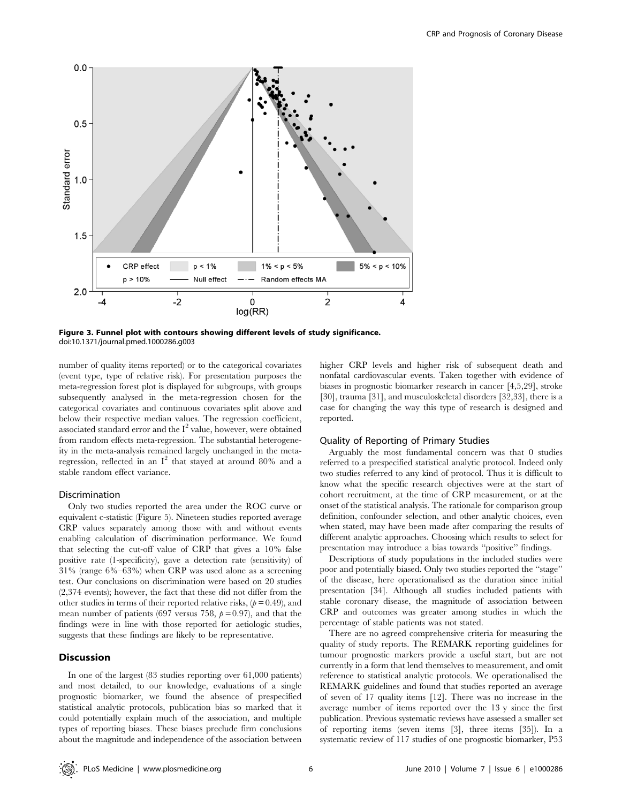

Figure 3. Funnel plot with contours showing different levels of study significance. doi:10.1371/journal.pmed.1000286.g003

number of quality items reported) or to the categorical covariates (event type, type of relative risk). For presentation purposes the meta-regression forest plot is displayed for subgroups, with groups subsequently analysed in the meta-regression chosen for the categorical covariates and continuous covariates split above and below their respective median values. The regression coefficient, associated standard error and the  $I^2$  value, however, were obtained from random effects meta-regression. The substantial heterogeneity in the meta-analysis remained largely unchanged in the metaregression, reflected in an  $I^2$  that stayed at around 80% and a stable random effect variance.

## Discrimination

Only two studies reported the area under the ROC curve or equivalent c-statistic (Figure 5). Nineteen studies reported average CRP values separately among those with and without events enabling calculation of discrimination performance. We found that selecting the cut-off value of CRP that gives a 10% false positive rate (1-specificity), gave a detection rate (sensitivity) of 31% (range 6%–63%) when CRP was used alone as a screening test. Our conclusions on discrimination were based on 20 studies (2,374 events); however, the fact that these did not differ from the other studies in terms of their reported relative risks,  $(p=0.49)$ , and mean number of patients (697 versus 758,  $p = 0.97$ ), and that the findings were in line with those reported for aetiologic studies, suggests that these findings are likely to be representative.

# **Discussion**

In one of the largest (83 studies reporting over 61,000 patients) and most detailed, to our knowledge, evaluations of a single prognostic biomarker, we found the absence of prespecified statistical analytic protocols, publication bias so marked that it could potentially explain much of the association, and multiple types of reporting biases. These biases preclude firm conclusions about the magnitude and independence of the association between higher CRP levels and higher risk of subsequent death and nonfatal cardiovascular events. Taken together with evidence of biases in prognostic biomarker research in cancer [4,5,29], stroke [30], trauma [31], and musculoskeletal disorders [32,33], there is a case for changing the way this type of research is designed and reported.

## Quality of Reporting of Primary Studies

Arguably the most fundamental concern was that 0 studies referred to a prespecified statistical analytic protocol. Indeed only two studies referred to any kind of protocol. Thus it is difficult to know what the specific research objectives were at the start of cohort recruitment, at the time of CRP measurement, or at the onset of the statistical analysis. The rationale for comparison group definition, confounder selection, and other analytic choices, even when stated, may have been made after comparing the results of different analytic approaches. Choosing which results to select for presentation may introduce a bias towards ''positive'' findings.

Descriptions of study populations in the included studies were poor and potentially biased. Only two studies reported the ''stage'' of the disease, here operationalised as the duration since initial presentation [34]. Although all studies included patients with stable coronary disease, the magnitude of association between CRP and outcomes was greater among studies in which the percentage of stable patients was not stated.

There are no agreed comprehensive criteria for measuring the quality of study reports. The REMARK reporting guidelines for tumour prognostic markers provide a useful start, but are not currently in a form that lend themselves to measurement, and omit reference to statistical analytic protocols. We operationalised the REMARK guidelines and found that studies reported an average of seven of 17 quality items [12]. There was no increase in the average number of items reported over the 13 y since the first publication. Previous systematic reviews have assessed a smaller set of reporting items (seven items [3], three items [35]). In a systematic review of 117 studies of one prognostic biomarker, P53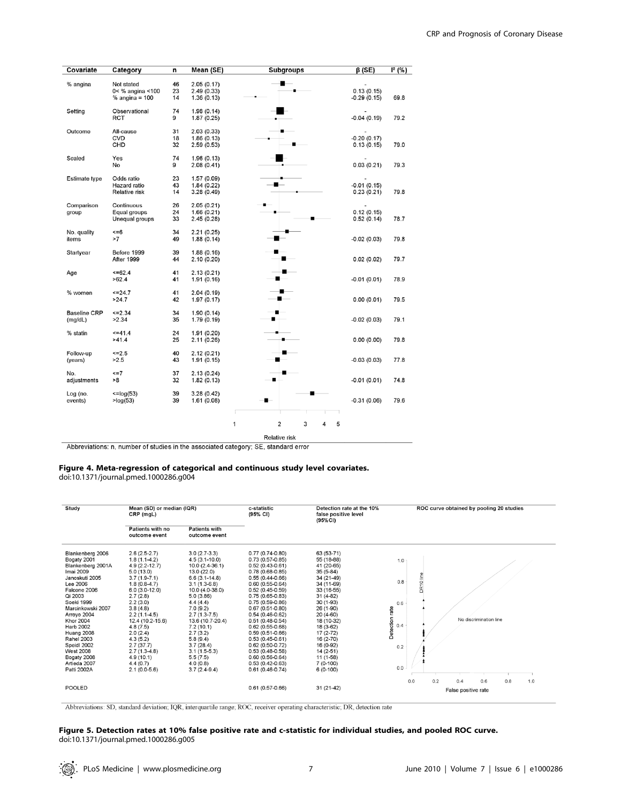| Covariate            | Category                | n  | Mean (SE)                | <b>Subgroups</b>                   | $\beta$ (SE)  | $I^2$ (%) |
|----------------------|-------------------------|----|--------------------------|------------------------------------|---------------|-----------|
|                      | Not stated              | 46 |                          |                                    |               |           |
| % angina             | 0< % angina <100        | 23 | 2.05(0.17)               |                                    | 0.13(0.15)    |           |
|                      | % angina = $100$        | 14 | 2.49(0.33)<br>1.36(0.13) |                                    | $-0.29(0.15)$ | 69.8      |
|                      |                         |    |                          |                                    |               |           |
| Setting              | Observational           | 74 | 1.98(0.14)               |                                    |               |           |
|                      | RCT                     | 9  | 1.87(0.25)               |                                    | $-0.04(0.19)$ | 79.2      |
|                      |                         |    |                          |                                    |               |           |
| Outcome              | All-cause<br><b>CVD</b> | 31 | 2.03(0.33)               |                                    |               |           |
|                      |                         | 18 | 1.86(0.13)               |                                    | $-0.20(0.17)$ |           |
|                      | CHD                     | 32 | 2.59(0.53)               |                                    | 0.13(0.15)    | 79.0      |
| Scaled               | Yes                     | 74 | 1.96(0.13)               |                                    |               |           |
|                      | No                      | 9  | 2.08(0.41)               |                                    | 0.03(0.21)    | 79.3      |
|                      |                         |    |                          |                                    |               |           |
| <b>Estimate type</b> | Odds ratio              | 23 | 1.57(0.09)               |                                    |               |           |
|                      | Hazard ratio            | 43 | 1.84(0.22)               |                                    | $-0.01(0.15)$ |           |
|                      | <b>Relative risk</b>    | 14 | 3.28(0.49)               |                                    | 0.23(0.21)    | 79.8      |
| Comparison           | Continuous              | 26 | 2.05(0.21)               |                                    |               |           |
| group                | Equal groups            | 24 | 1.66(0.21)               |                                    | 0.12(0.15)    |           |
|                      | Unequal groups          | 33 | 2.45(0.28)               |                                    | 0.52(0.14)    | 78.7      |
|                      |                         |    |                          |                                    |               |           |
| No. quality          | $\leq$ =6               | 34 | 2.21(0.25)               |                                    |               |           |
| items                | >7                      | 49 | 1.88(0.14)               |                                    | $-0.02(0.03)$ | 79.8      |
|                      |                         |    |                          |                                    |               |           |
| Startyear            | Before 1999             | 39 | 1.88(0.16)               |                                    |               |           |
|                      | <b>After 1999</b>       | 44 | 2.10(0.20)               |                                    | 0.02(0.02)    | 79.7      |
| Age                  | $55-62.4$               | 41 | 2.13(0.21)               |                                    |               |           |
|                      | >62.4                   | 41 | 1.91(0.16)               |                                    | $-0.01(0.01)$ | 78.9      |
|                      |                         |    |                          |                                    |               |           |
| % women              | $=24.7$                 | 41 | 2.04(0.19)               |                                    |               |           |
|                      | >24.7                   | 42 | 1.97(0.17)               |                                    | 0.00(0.01)    | 79.5      |
| <b>Baseline CRP</b>  | $=2.34$                 | 34 | 1.90(0.14)               |                                    |               |           |
| (mg/dL)              | >2.34                   | 35 | 1.79 (0.19)              |                                    | $-0.02(0.03)$ | 79.1      |
|                      |                         |    |                          |                                    |               |           |
| % statin             | 541.4                   | 24 | 1.91 (0.20)              |                                    |               |           |
|                      | >41.4                   | 25 | 2.11(0.26)               |                                    | 0.00(0.00)    | 79.8      |
|                      | $=2.5$                  | 40 |                          |                                    |               |           |
| Follow-up            | >2.5                    | 43 | 2.12(0.21)               |                                    |               | 77.8      |
| (years)              |                         |    | 1.91(0.15)               |                                    | $-0.03(0.03)$ |           |
| No.                  | $=7$                    | 37 | 2.13(0.24)               |                                    |               |           |
| adjustments          | >8                      | 32 | 1.82(0.13)               |                                    | $-0.01(0.01)$ | 74.8      |
|                      |                         |    |                          |                                    |               |           |
| Log (no.             | $\le$ = $log(53)$       | 39 | 3.28(0.42)               |                                    |               |           |
| events)              | $>$ log $(53)$          | 39 | 1.61(0.08)               |                                    | $-0.31(0.06)$ | 79.6      |
|                      |                         |    |                          |                                    |               |           |
|                      |                         |    |                          | 1<br>$\overline{c}$<br>3<br>5<br>4 |               |           |
|                      |                         |    |                          |                                    |               |           |
|                      |                         |    |                          | Relative risk                      |               |           |

Abbreviations: n, number of studies in the associated category; SE, standard error

# Figure 4. Meta-regression of categorical and continuous study level covariates.

doi:10.1371/journal.pmed.1000286.g004

| <b>Study</b>                                                                                                                                                                                                                                                                                                                             | Mean (SD) or median (IQR)<br>CRP (maL)                                                                                                                                                                                                                                                                            |                                                                                                                                                                                                                                                                                                                      | c-statistic<br>(95% CI)                                                                                                                                                                                                                                                                                                                                                                                                                              | Detection rate at the 10%<br>false positive level<br>(95% CI)                                                                                                                                                                                                                                   | ROC curve obtained by pooling 20 studies                                                  |
|------------------------------------------------------------------------------------------------------------------------------------------------------------------------------------------------------------------------------------------------------------------------------------------------------------------------------------------|-------------------------------------------------------------------------------------------------------------------------------------------------------------------------------------------------------------------------------------------------------------------------------------------------------------------|----------------------------------------------------------------------------------------------------------------------------------------------------------------------------------------------------------------------------------------------------------------------------------------------------------------------|------------------------------------------------------------------------------------------------------------------------------------------------------------------------------------------------------------------------------------------------------------------------------------------------------------------------------------------------------------------------------------------------------------------------------------------------------|-------------------------------------------------------------------------------------------------------------------------------------------------------------------------------------------------------------------------------------------------------------------------------------------------|-------------------------------------------------------------------------------------------|
|                                                                                                                                                                                                                                                                                                                                          | Patients with no<br>outcome event                                                                                                                                                                                                                                                                                 | <b>Patients with</b><br>outcome event                                                                                                                                                                                                                                                                                |                                                                                                                                                                                                                                                                                                                                                                                                                                                      |                                                                                                                                                                                                                                                                                                 |                                                                                           |
| Blankenberg 2006<br>Bogaty 2001<br>Blankenberg 2001A<br>Imai 2009<br>Janoskuti 2005<br>Lee 2006<br>Falcone 2006<br>Qi 2003<br>Soeki 1999<br>Marcinkowski 2007<br>Arroyo 2004<br><b>Khor 2004</b><br><b>Harb 2002</b><br>Huang 2008<br><b>Rahel 2003</b><br>Speidl 2002<br><b>West 2008</b><br>Bogaty 2008<br>Artieda 2007<br>Patti 2002A | $2.6(2.5-2.7)$<br>$1.8(1.1-4.2)$<br>$4.9(2.2 - 12.7)$<br>5.0(13.0)<br>$3.7(1.9-7.1)$<br>$1.8(0.8-4.7)$<br>$6.0(3.0-12.0)$<br>2.7(2.8)<br>2.2(3.0)<br>3.8(4.8)<br>$2.2(1.1-4.5)$<br>12.4 (10.2-15.6)<br>4.8(7.5)<br>2.0(2.4)<br>4.3(5.2)<br>2.7(37.7)<br>$2.7(1.3-4.8)$<br>4.9(10.1)<br>4.4(0.7)<br>$2.1(0.0-5.6)$ | $3.0(2.7-3.3)$<br>$4.5(3.1-10.0)$<br>10.0 (2.4-36.1)<br>13.0 (22.0)<br>$6.6(3.1-14.8)$<br>$3.1(1.3-6.8)$<br>10.0 (4.0-38.0)<br>5.0(3.86)<br>4.4(4.4)<br>7.0(9.2)<br>$2.7(1.3-7.5)$<br>13.6 (10.7-20.4)<br>7.2(10.1)<br>2.7(3.2)<br>5.8(9.4)<br>3.7(28.4)<br>$3.1(1.5-5.3)$<br>5.5(7.5)<br>4.0(0.8)<br>$3.7(2.4-9.4)$ | $0.77(0.74-0.80)$<br>$0.73(0.57-0.85)$<br>$0.52(0.43 - 0.61)$<br>$0.78(0.68-0.85)$<br>$0.55(0.44 - 0.66)$<br>$0.60(0.55 - 0.64)$<br>$0.52(0.45-0.59)$<br>$0.75(0.65 - 0.83)$<br>$0.75(0.59 - 0.86)$<br>$0.67(0.51-0.80)$<br>$0.54(0.46-0.62)$<br>$0.51(0.48-0.54)$<br>$0.62(0.55 - 0.68)$<br>$0.59(0.51-0.66)$<br>$0.53(0.45 - 0.61)$<br>$0.62(0.50 - 0.72)$<br>$0.53(0.48-0.58)$<br>$0.60(0.56 - 0.64)$<br>$0.53(0.42 - 0.63)$<br>$0.61(0.46-0.74)$ | 63 (53-71)<br>55 (18-88)<br>41 (20-65)<br>$35(5-84)$<br>34 (21-49)<br>34 (11-69)<br>33 (16-55)<br>$31(4-82)$<br>$30(1-93)$<br>Detection rate<br>26 (1-90)<br>20 (4-60)<br>18 (10-32)<br>18 (3-62)<br>$17(2-72)$<br>16 (2-70)<br>16 (0-92)<br>14 (2-51)<br>11 (1-58)<br>$7(0-100)$<br>$6(0-100)$ | 1.0<br>DR <sub>10</sub> line<br>0.8<br>0.6<br>No discrimination line<br>0.4<br>0.2<br>0.0 |
| <b>POOLED</b>                                                                                                                                                                                                                                                                                                                            |                                                                                                                                                                                                                                                                                                                   |                                                                                                                                                                                                                                                                                                                      | $0.61(0.57-0.66)$                                                                                                                                                                                                                                                                                                                                                                                                                                    | $31(21-42)$                                                                                                                                                                                                                                                                                     | 0.2<br>0.0<br>0.4<br>0.6<br>0.8<br>1.0<br>False positive rate                             |

Abbreviations: SD, standard deviation; IQR, interquartile range; ROC, receiver operating characteristic; DR, detection rate

Figure 5. Detection rates at 10% false positive rate and c-statistic for individual studies, and pooled ROC curve. doi:10.1371/journal.pmed.1000286.g005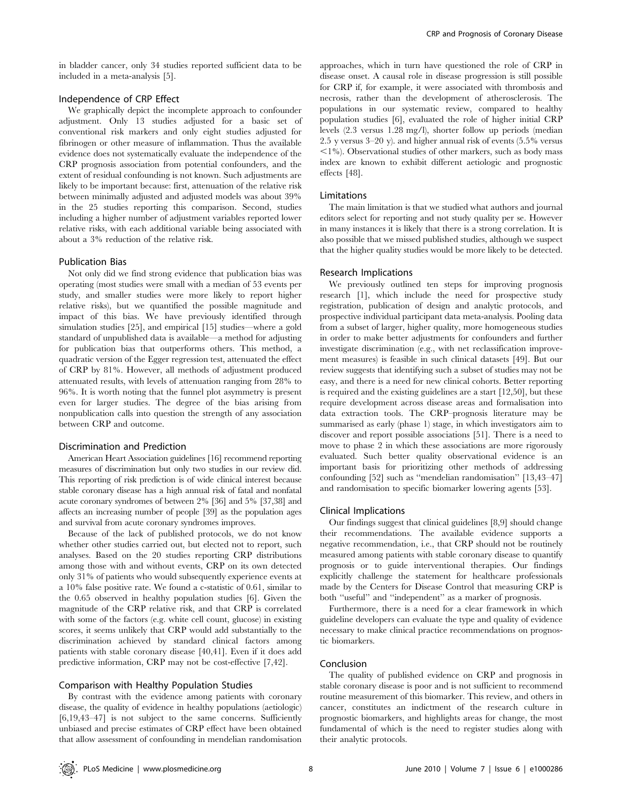in bladder cancer, only 34 studies reported sufficient data to be included in a meta-analysis [5].

## Independence of CRP Effect

We graphically depict the incomplete approach to confounder adjustment. Only 13 studies adjusted for a basic set of conventional risk markers and only eight studies adjusted for fibrinogen or other measure of inflammation. Thus the available evidence does not systematically evaluate the independence of the CRP prognosis association from potential confounders, and the extent of residual confounding is not known. Such adjustments are likely to be important because: first, attenuation of the relative risk between minimally adjusted and adjusted models was about 39% in the 25 studies reporting this comparison. Second, studies including a higher number of adjustment variables reported lower relative risks, with each additional variable being associated with about a 3% reduction of the relative risk.

#### Publication Bias

Not only did we find strong evidence that publication bias was operating (most studies were small with a median of 53 events per study, and smaller studies were more likely to report higher relative risks), but we quantified the possible magnitude and impact of this bias. We have previously identified through simulation studies [25], and empirical [15] studies—where a gold standard of unpublished data is available—a method for adjusting for publication bias that outperforms others. This method, a quadratic version of the Egger regression test, attenuated the effect of CRP by 81%. However, all methods of adjustment produced attenuated results, with levels of attenuation ranging from 28% to 96%. It is worth noting that the funnel plot asymmetry is present even for larger studies. The degree of the bias arising from nonpublication calls into question the strength of any association between CRP and outcome.

#### Discrimination and Prediction

American Heart Association guidelines [16] recommend reporting measures of discrimination but only two studies in our review did. This reporting of risk prediction is of wide clinical interest because stable coronary disease has a high annual risk of fatal and nonfatal acute coronary syndromes of between 2% [36] and 5% [37,38] and affects an increasing number of people [39] as the population ages and survival from acute coronary syndromes improves.

Because of the lack of published protocols, we do not know whether other studies carried out, but elected not to report, such analyses. Based on the 20 studies reporting CRP distributions among those with and without events, CRP on its own detected only 31% of patients who would subsequently experience events at a 10% false positive rate. We found a c-statistic of 0.61, similar to the 0.65 observed in healthy population studies [6]. Given the magnitude of the CRP relative risk, and that CRP is correlated with some of the factors (e.g. white cell count, glucose) in existing scores, it seems unlikely that CRP would add substantially to the discrimination achieved by standard clinical factors among patients with stable coronary disease [40,41]. Even if it does add predictive information, CRP may not be cost-effective [7,42].

## Comparison with Healthy Population Studies

By contrast with the evidence among patients with coronary disease, the quality of evidence in healthy populations (aetiologic) [6,19,43-47] is not subject to the same concerns. Sufficiently unbiased and precise estimates of CRP effect have been obtained that allow assessment of confounding in mendelian randomisation approaches, which in turn have questioned the role of CRP in disease onset. A causal role in disease progression is still possible for CRP if, for example, it were associated with thrombosis and necrosis, rather than the development of atherosclerosis. The populations in our systematic review, compared to healthy population studies [6], evaluated the role of higher initial CRP levels (2.3 versus 1.28 mg/l), shorter follow up periods (median 2.5 y versus 3–20 y). and higher annual risk of events (5.5% versus  $\langle 1\% \rangle$ . Observational studies of other markers, such as body mass index are known to exhibit different aetiologic and prognostic effects [48].

#### Limitations

The main limitation is that we studied what authors and journal editors select for reporting and not study quality per se. However in many instances it is likely that there is a strong correlation. It is also possible that we missed published studies, although we suspect that the higher quality studies would be more likely to be detected.

#### Research Implications

We previously outlined ten steps for improving prognosis research [1], which include the need for prospective study registration, publication of design and analytic protocols, and prospective individual participant data meta-analysis. Pooling data from a subset of larger, higher quality, more homogeneous studies in order to make better adjustments for confounders and further investigate discrimination (e.g., with net reclassification improvement measures) is feasible in such clinical datasets [49]. But our review suggests that identifying such a subset of studies may not be easy, and there is a need for new clinical cohorts. Better reporting is required and the existing guidelines are a start [12,50], but these require development across disease areas and formalisation into data extraction tools. The CRP–prognosis literature may be summarised as early (phase 1) stage, in which investigators aim to discover and report possible associations [51]. There is a need to move to phase 2 in which these associations are more rigorously evaluated. Such better quality observational evidence is an important basis for prioritizing other methods of addressing confounding [52] such as ''mendelian randomisation'' [13,43–47] and randomisation to specific biomarker lowering agents [53].

#### Clinical Implications

Our findings suggest that clinical guidelines [8,9] should change their recommendations. The available evidence supports a negative recommendation, i.e., that CRP should not be routinely measured among patients with stable coronary disease to quantify prognosis or to guide interventional therapies. Our findings explicitly challenge the statement for healthcare professionals made by the Centers for Disease Control that measuring CRP is both ''useful'' and ''independent'' as a marker of prognosis.

Furthermore, there is a need for a clear framework in which guideline developers can evaluate the type and quality of evidence necessary to make clinical practice recommendations on prognostic biomarkers.

# Conclusion

The quality of published evidence on CRP and prognosis in stable coronary disease is poor and is not sufficient to recommend routine measurement of this biomarker. This review, and others in cancer, constitutes an indictment of the research culture in prognostic biomarkers, and highlights areas for change, the most fundamental of which is the need to register studies along with their analytic protocols.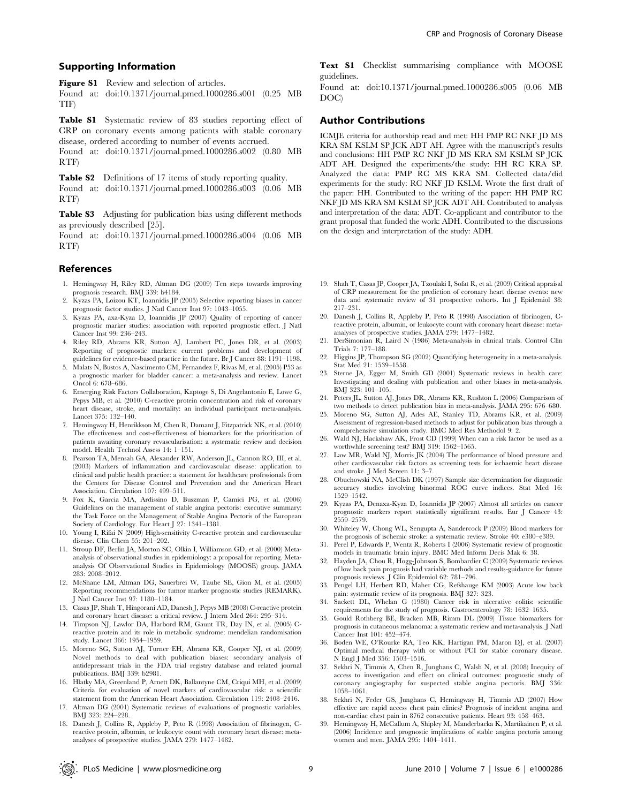## Supporting Information

Figure S1 Review and selection of articles.

Found at: doi:10.1371/journal.pmed.1000286.s001 (0.25 MB TIF)

Table S1 Systematic review of 83 studies reporting effect of CRP on coronary events among patients with stable coronary disease, ordered according to number of events accrued.

Found at: doi:10.1371/journal.pmed.1000286.s002 (0.80 MB RTF)

Table S2 Definitions of 17 items of study reporting quality.

Found at: doi:10.1371/journal.pmed.1000286.s003 (0.06 MB RTF)

Table S3 Adjusting for publication bias using different methods as previously described [25].

Found at: doi:10.1371/journal.pmed.1000286.s004 (0.06 MB RTF)

## References

- 1. Hemingway H, Riley RD, Altman DG (2009) Ten steps towards improving prognosis research. BMJ 339: b4184.
- 2. Kyzas PA, Loizou KT, Ioannidis JP (2005) Selective reporting biases in cancer prognostic factor studies. J Natl Cancer Inst 97: 1043–1055.
- 3. Kyzas PA, axa-Kyza D, Ioannidis JP (2007) Quality of reporting of cancer prognostic marker studies: association with reported prognostic effect. J Natl Cancer Inst 99: 236–243.
- 4. Riley RD, Abrams KR, Sutton AJ, Lambert PC, Jones DR, et al. (2003) Reporting of prognostic markers: current problems and development of guidelines for evidence-based practice in the future. Br J Cancer 88: 1191–1198.
- 5. Malats N, Bustos A, Nascimento CM, Fernandez F, Rivas M, et al. (2005) P53 as a prognostic marker for bladder cancer: a meta-analysis and review. Lancet Oncol 6: 678–686.
- 6. Emerging Risk Factors Collaboration, Kaptoge S, Di Angelantonio E, Lowe G, Pepys MB, et al. (2010) C-reactive protein concentration and risk of coronary heart disease, stroke, and mortality: an individual participant meta-analysis. Lancet 375: 132–140.
- 7. Hemingway H, Henrikkson M, Chen R, Damant J, Fitzpatrick NK, et al. (2010) The effectiveness and cost-effectiveness of biomarkers for the prioritisation of patients awaiting coronary revascularisation: a systematic review and decision model. Health Technol Assess 14: 1–151.
- 8. Pearson TA, Mensah GA, Alexander RW, Anderson JL, Cannon RO, III, et al. (2003) Markers of inflammation and cardiovascular disease: application to clinical and public health practice: a statement for healthcare professionals from the Centers for Disease Control and Prevention and the American Heart Association. Circulation 107: 499–511.
- 9. Fox K, Garcia MA, Ardissino D, Buszman P, Camici PG, et al. (2006) Guidelines on the management of stable angina pectoris: executive summary: the Task Force on the Management of Stable Angina Pectoris of the European Society of Cardiology. Eur Heart J 27: 1341–1381.
- 10. Young I, Rifai N (2009) High-sensitivity C-reactive protein and cardiovascular disease. Clin Chem 55: 201–202.
- 11. Stroup DF, Berlin JA, Morton SC, Olkin I, Williamson GD, et al. (2000) Metaanalysis of observational studies in epidemiology: a proposal for reporting. Metaanalysis Of Observational Studies in Epidemiology (MOOSE) group. JAMA 283: 2008–2012.
- 12. McShane LM, Altman DG, Sauerbrei W, Taube SE, Gion M, et al. (2005) Reporting recommendations for tumor marker prognostic studies (REMARK). J Natl Cancer Inst 97: 1180–1184.
- 13. Casas JP, Shah T, Hingorani AD, Danesh J, Pepys MB (2008) C-reactive protein and coronary heart disease: a critical review. J Intern Med 264: 295–314.
- 14. Timpson NJ, Lawlor DA, Harbord RM, Gaunt TR, Day IN, et al. (2005) Creactive protein and its role in metabolic syndrome: mendelian randomisation study. Lancet 366: 1954–1959.
- 15. Moreno SG, Sutton AJ, Turner EH, Abrams KR, Cooper NJ, et al. (2009) Novel methods to deal with publication biases: secondary analysis of antidepressant trials in the FDA trial registry database and related journal publications. BMJ 339: b2981.
- 16. Hlatky MA, Greenland P, Arnett DK, Ballantyne CM, Criqui MH, et al. (2009) Criteria for evaluation of novel markers of cardiovascular risk: a scientific statement from the American Heart Association. Circulation 119: 2408–2416.
- 17. Altman DG (2001) Systematic reviews of evaluations of prognostic variables. BMJ 323: 224–228.
- 18. Danesh J, Collins R, Appleby P, Peto R (1998) Association of fibrinogen, Creactive protein, albumin, or leukocyte count with coronary heart disease: metaanalyses of prospective studies. JAMA 279: 1477–1482.

Text S1 Checklist summarising compliance with MOOSE guidelines.

Found at: doi:10.1371/journal.pmed.1000286.s005 (0.06 MB DOC)

## Author Contributions

ICMJE criteria for authorship read and met: HH PMP RC NKF JD MS KRA SM KSLM SP JCK ADT AH. Agree with the manuscript's results and conclusions: HH PMP RC NKF JD MS KRA SM KSLM SP JCK ADT AH. Designed the experiments/the study: HH RC KRA SP. Analyzed the data: PMP RC MS KRA SM. Collected data/did experiments for the study: RC NKF JD KSLM. Wrote the first draft of the paper: HH. Contributed to the writing of the paper: HH PMP RC NKF JD MS KRA SM KSLM SP JCK ADT AH. Contributed to analysis and interpretation of the data: ADT. Co-applicant and contributor to the grant proposal that funded the work: ADH. Contributed to the discussions on the design and interpretation of the study: ADH.

- 19. Shah T, Casas JP, Cooper JA, Tzoulaki I, Sofat R, et al. (2009) Critical appraisal of CRP measurement for the prediction of coronary heart disease events: new data and systematic review of 31 prospective cohorts. Int J Epidemiol 38: 217–231.
- 20. Danesh J, Collins R, Appleby P, Peto R (1998) Association of fibrinogen, Creactive protein, albumin, or leukocyte count with coronary heart disease: metaanalyses of prospective studies. JAMA 279: 1477–1482.
- 21. DerSimonian R, Laird N (1986) Meta-analysis in clinical trials. Control Clin Trials 7: 177–188.
- 22. Higgins JP, Thompson SG (2002) Quantifying heterogeneity in a meta-analysis. Stat Med 21: 1539–1558.
- 23. Sterne JA, Egger M, Smith GD (2001) Systematic reviews in health care: Investigating and dealing with publication and other biases in meta-analysis. BMJ 323: 101–105.
- 24. Peters JL, Sutton AJ, Jones DR, Abrams KR, Rushton L (2006) Comparison of two methods to detect publication bias in meta-analysis. JAMA 295: 676–680.
- 25. Moreno SG, Sutton AJ, Ades AE, Stanley TD, Abrams KR, et al. (2009) Assessment of regression-based methods to adjust for publication bias through a comprehensive simulation study. BMC Med Res Methodol 9: 2.
- 26. Wald NJ, Hackshaw AK, Frost CD (1999) When can a risk factor be used as a worthwhile screening test? BMJ 319: 1562–1565.
- 27. Law MR, Wald NJ, Morris JK (2004) The performance of blood pressure and other cardiovascular risk factors as screening tests for ischaemic heart disease and stroke. J Med Screen 11: 3–7.
- 28. Obuchowski NA, McClish DK (1997) Sample size determination for diagnostic accuracy studies involving binormal ROC curve indices. Stat Med 16: 1529–1542.
- 29. Kyzas PA, Denaxa-Kyza D, Ioannidis JP (2007) Almost all articles on cancer prognostic markers report statistically significant results. Eur J Cancer 43: 2559–2579.
- 30. Whiteley W, Chong WL, Sengupta A, Sandercock P (2009) Blood markers for the prognosis of ischemic stroke: a systematic review. Stroke 40: e380–e389.
- 31. Perel P, Edwards P, Wentz R, Roberts I (2006) Systematic review of prognostic models in traumatic brain injury. BMC Med Inform Decis Mak 6: 38.
- 32. Hayden JA, Chou R, Hogg-Johnson S, Bombardier C (2009) Systematic reviews of low back pain prognosis had variable methods and results-guidance for future prognosis reviews. J Clin Epidemiol 62: 781–796.
- 33. Pengel LH, Herbert RD, Maher CG, Refshauge KM (2003) Acute low back pain: systematic review of its prognosis. BMJ 327: 323.
- 34. Sackett DL, Whelan G (1980) Cancer risk in ulcerative colitis: scientific requirements for the study of prognosis. Gastroenterology 78: 1632–1635.
- 35. Gould Rothberg BE, Bracken MB, Rimm DL (2009) Tissue biomarkers for prognosis in cutaneous melanoma: a systematic review and meta-analysis. J Natl Cancer Inst 101: 452–474.
- 36. Boden WE, O'Rourke RA, Teo KK, Hartigan PM, Maron DJ, et al. (2007) Optimal medical therapy with or without PCI for stable coronary disease. N Engl J Med 356: 1503–1516.
- 37. Sekhri N, Timmis A, Chen R, Junghans C, Walsh N, et al. (2008) Inequity of access to investigation and effect on clinical outcomes: prognostic study of coronary angiography for suspected stable angina pectoris. BMJ 336: 1058–1061.
- 38. Sekhri N, Feder GS, Junghans C, Hemingway H, Timmis AD (2007) How effective are rapid access chest pain clinics? Prognosis of incident angina and non-cardiac chest pain in 8762 consecutive patients. Heart 93: 458–463.
- 39. Hemingway H, McCallum A, Shipley M, Manderbacka K, Martikainen P, et al. (2006) Incidence and prognostic implications of stable angina pectoris among women and men. JAMA 295: 1404–1411.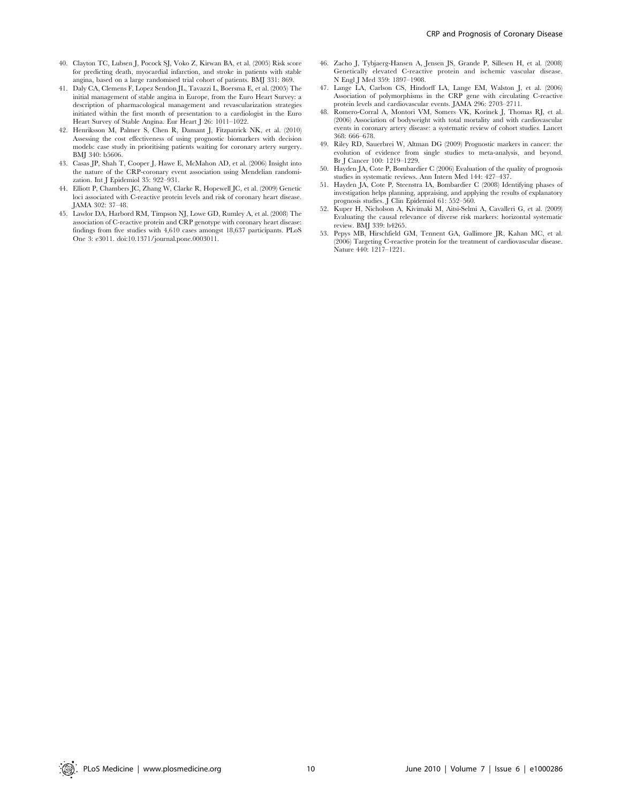- 40. Clayton TC, Lubsen J, Pocock SJ, Voko Z, Kirwan BA, et al. (2005) Risk score for predicting death, myocardial infarction, and stroke in patients with stable angina, based on a large randomised trial cohort of patients. BMJ 331: 869.
- 41. Daly CA, Clemens F, Lopez Sendon JL, Tavazzi L, Boersma E, et al. (2005) The initial management of stable angina in Europe, from the Euro Heart Survey: a description of pharmacological management and revascularization strategies initiated within the first month of presentation to a cardiologist in the Euro Heart Survey of Stable Angina. Eur Heart J 26: 1011–1022.
- 42. Henriksson M, Palmer S, Chen R, Damant J, Fitzpatrick NK, et al. (2010) Assessing the cost effectiveness of using prognostic biomarkers with decision models: case study in prioritising patients waiting for coronary artery surgery. BMJ 340: b5606.
- 43. Casas JP, Shah T, Cooper J, Hawe E, McMahon AD, et al. (2006) Insight into the nature of the CRP-coronary event association using Mendelian randomization. Int J Epidemiol 35: 922–931.
- 44. Elliott P, Chambers JC, Zhang W, Clarke R, Hopewell JC, et al. (2009) Genetic loci associated with C-reactive protein levels and risk of coronary heart disease. JAMA 302: 37–48.
- 45. Lawlor DA, Harbord RM, Timpson NJ, Lowe GD, Rumley A, et al. (2008) The association of C-reactive protein and CRP genotype with coronary heart disease: findings from five studies with 4,610 cases amongst 18,637 participants. PLoS One 3: e3011. doi:10.1371/journal.pone.0003011.
- 46. Zacho J, Tybjaerg-Hansen A, Jensen JS, Grande P, Sillesen H, et al. (2008) Genetically elevated C-reactive protein and ischemic vascular disease. N Engl J Med 359: 1897–1908.
- 47. Lange LA, Carlson CS, Hindorff LA, Lange EM, Walston J, et al. (2006) Association of polymorphisms in the CRP gene with circulating C-reactive protein levels and cardiovascular events. JAMA 296: 2703–2711.
- 48. Romero-Corral A, Montori VM, Somers VK, Korinek J, Thomas RJ, et al. (2006) Association of bodyweight with total mortality and with cardiovascular events in coronary artery disease: a systematic review of cohort studies. Lancet 368: 666–678.
- 49. Riley RD, Sauerbrei W, Altman DG (2009) Prognostic markers in cancer: the evolution of evidence from single studies to meta-analysis, and beyond. Br J Cancer 100: 1219–1229.
- 50. Hayden JA, Cote P, Bombardier C (2006) Evaluation of the quality of prognosis studies in systematic reviews. Ann Intern Med 144: 427–437.
- 51. Hayden JA, Cote P, Steenstra IA, Bombardier C (2008) Identifying phases of investigation helps planning, appraising, and applying the results of explanatory prognosis studies. J Clin Epidemiol 61: 552–560.
- 52. Kuper H, Nicholson A, Kivimaki M, Aitsi-Selmi A, Cavalleri G, et al. (2009) Evaluating the causal relevance of diverse risk markers: horizontal systematic review. BMJ 339: b4265.
- 53. Pepys MB, Hirschfield GM, Tennent GA, Gallimore JR, Kahan MC, et al. (2006) Targeting C-reactive protein for the treatment of cardiovascular disease. Nature 440: 1217–1221.